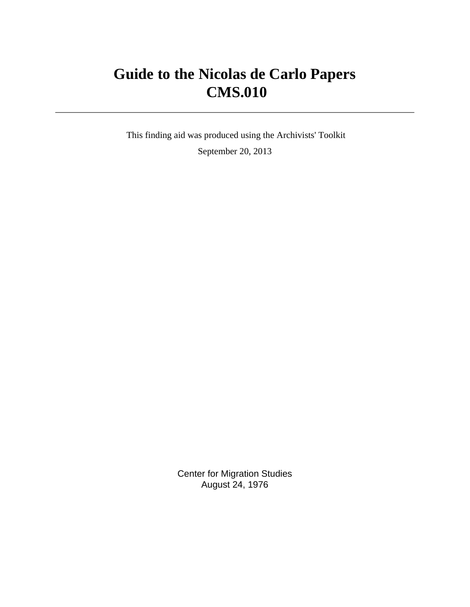# **Guide to the Nicolas de Carlo Papers CMS.010**

 This finding aid was produced using the Archivists' Toolkit September 20, 2013

> Center for Migration Studies August 24, 1976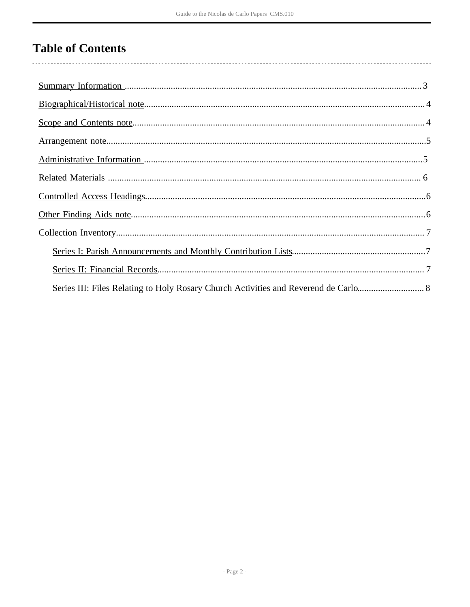# **Table of Contents**

|  | Series III: Files Relating to Holy Rosary Church Activities and Reverend de Carlo 8 |  |
|--|-------------------------------------------------------------------------------------|--|
|  |                                                                                     |  |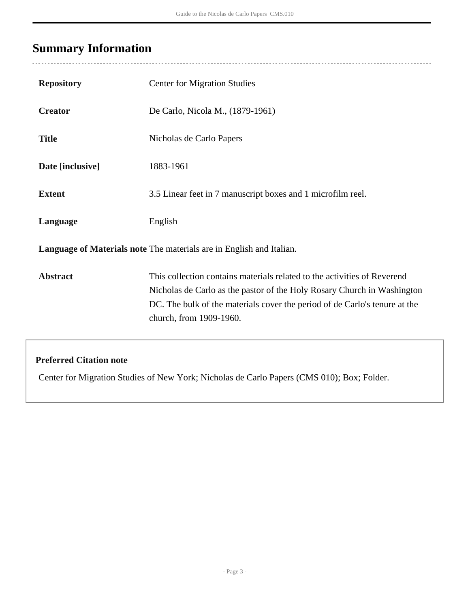# <span id="page-2-0"></span>**Summary Information**

 $\overline{a}$ 

| <b>Repository</b>                                                    | <b>Center for Migration Studies</b>                                                                                                                                                                                                                          |  |  |
|----------------------------------------------------------------------|--------------------------------------------------------------------------------------------------------------------------------------------------------------------------------------------------------------------------------------------------------------|--|--|
| <b>Creator</b>                                                       | De Carlo, Nicola M., (1879-1961)                                                                                                                                                                                                                             |  |  |
| <b>Title</b>                                                         | Nicholas de Carlo Papers                                                                                                                                                                                                                                     |  |  |
| Date [inclusive]                                                     | 1883-1961                                                                                                                                                                                                                                                    |  |  |
| <b>Extent</b>                                                        | 3.5 Linear feet in 7 manuscript boxes and 1 microfilm reel.                                                                                                                                                                                                  |  |  |
| Language                                                             | English                                                                                                                                                                                                                                                      |  |  |
| Language of Materials note The materials are in English and Italian. |                                                                                                                                                                                                                                                              |  |  |
| <b>Abstract</b>                                                      | This collection contains materials related to the activities of Reverend<br>Nicholas de Carlo as the pastor of the Holy Rosary Church in Washington<br>DC. The bulk of the materials cover the period of de Carlo's tenure at the<br>church, from 1909-1960. |  |  |

## **Preferred Citation note**

Center for Migration Studies of New York; Nicholas de Carlo Papers (CMS 010); Box; Folder.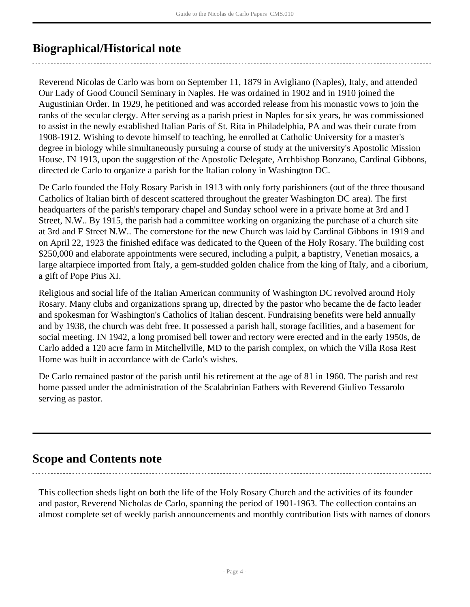# <span id="page-3-0"></span>**Biographical/Historical note**

Reverend Nicolas de Carlo was born on September 11, 1879 in Avigliano (Naples), Italy, and attended Our Lady of Good Council Seminary in Naples. He was ordained in 1902 and in 1910 joined the Augustinian Order. In 1929, he petitioned and was accorded release from his monastic vows to join the ranks of the secular clergy. After serving as a parish priest in Naples for six years, he was commissioned to assist in the newly established Italian Paris of St. Rita in Philadelphia, PA and was their curate from 1908-1912. Wishing to devote himself to teaching, he enrolled at Catholic University for a master's degree in biology while simultaneously pursuing a course of study at the university's Apostolic Mission House. IN 1913, upon the suggestion of the Apostolic Delegate, Archbishop Bonzano, Cardinal Gibbons, directed de Carlo to organize a parish for the Italian colony in Washington DC.

De Carlo founded the Holy Rosary Parish in 1913 with only forty parishioners (out of the three thousand Catholics of Italian birth of descent scattered throughout the greater Washington DC area). The first headquarters of the parish's temporary chapel and Sunday school were in a private home at 3rd and I Street, N.W.. By 1915, the parish had a committee working on organizing the purchase of a church site at 3rd and F Street N.W.. The cornerstone for the new Church was laid by Cardinal Gibbons in 1919 and on April 22, 1923 the finished ediface was dedicated to the Queen of the Holy Rosary. The building cost \$250,000 and elaborate appointments were secured, including a pulpit, a baptistry, Venetian mosaics, a large altarpiece imported from Italy, a gem-studded golden chalice from the king of Italy, and a ciborium, a gift of Pope Pius XI.

Religious and social life of the Italian American community of Washington DC revolved around Holy Rosary. Many clubs and organizations sprang up, directed by the pastor who became the de facto leader and spokesman for Washington's Catholics of Italian descent. Fundraising benefits were held annually and by 1938, the church was debt free. It possessed a parish hall, storage facilities, and a basement for social meeting. IN 1942, a long promised bell tower and rectory were erected and in the early 1950s, de Carlo added a 120 acre farm in Mitchellville, MD to the parish complex, on which the Villa Rosa Rest Home was built in accordance with de Carlo's wishes.

De Carlo remained pastor of the parish until his retirement at the age of 81 in 1960. The parish and rest home passed under the administration of the Scalabrinian Fathers with Reverend Giulivo Tessarolo serving as pastor.

# <span id="page-3-1"></span>**Scope and Contents note**

This collection sheds light on both the life of the Holy Rosary Church and the activities of its founder and pastor, Reverend Nicholas de Carlo, spanning the period of 1901-1963. The collection contains an almost complete set of weekly parish announcements and monthly contribution lists with names of donors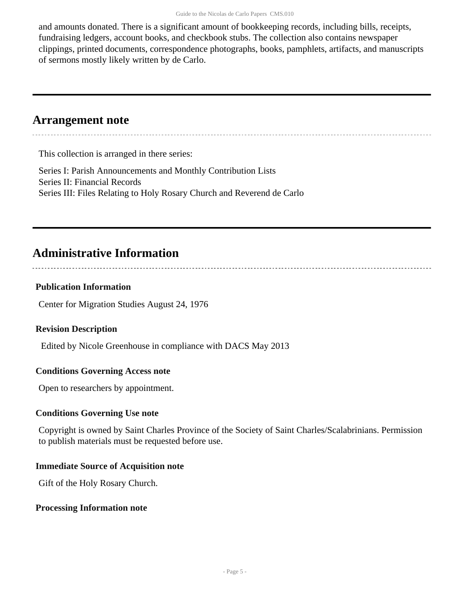and amounts donated. There is a significant amount of bookkeeping records, including bills, receipts, fundraising ledgers, account books, and checkbook stubs. The collection also contains newspaper clippings, printed documents, correspondence photographs, books, pamphlets, artifacts, and manuscripts of sermons mostly likely written by de Carlo.

## <span id="page-4-0"></span>**Arrangement note**

This collection is arranged in there series:

Series I: Parish Announcements and Monthly Contribution Lists Series II: Financial Records Series III: Files Relating to Holy Rosary Church and Reverend de Carlo

# <span id="page-4-1"></span>**Administrative Information**

#### **Publication Information**

Center for Migration Studies August 24, 1976

#### **Revision Description**

Edited by Nicole Greenhouse in compliance with DACS May 2013

#### **Conditions Governing Access note**

Open to researchers by appointment.

#### **Conditions Governing Use note**

Copyright is owned by Saint Charles Province of the Society of Saint Charles/Scalabrinians. Permission to publish materials must be requested before use.

#### **Immediate Source of Acquisition note**

Gift of the Holy Rosary Church.

#### **Processing Information note**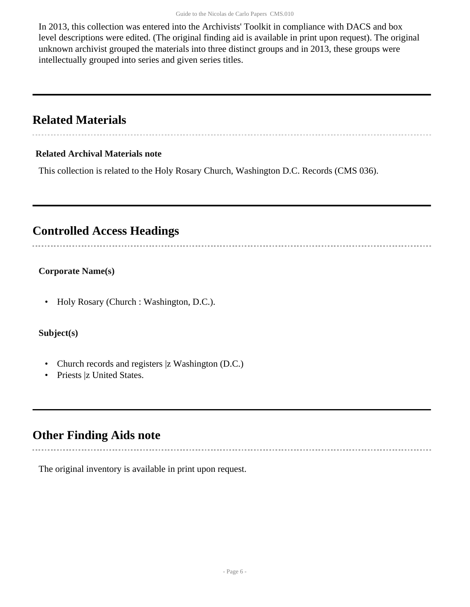In 2013, this collection was entered into the Archivists' Toolkit in compliance with DACS and box level descriptions were edited. (The original finding aid is available in print upon request). The original unknown archivist grouped the materials into three distinct groups and in 2013, these groups were intellectually grouped into series and given series titles.

# <span id="page-5-0"></span>**Related Materials**

#### **Related Archival Materials note**

This collection is related to the Holy Rosary Church, Washington D.C. Records (CMS 036).

# <span id="page-5-1"></span>**Controlled Access Headings**

### **Corporate Name(s)**

• Holy Rosary (Church : Washington, D.C.).

#### **Subject(s)**

- Church records and registers |z Washington (D.C.)
- Priests |z United States.

## <span id="page-5-2"></span>**Other Finding Aids note**

The original inventory is available in print upon request.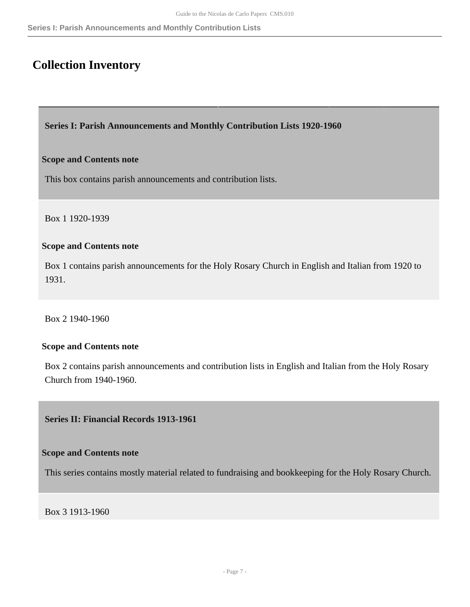# <span id="page-6-0"></span>**Collection Inventory**

<span id="page-6-1"></span>**Series I: Parish Announcements and Monthly Contribution Lists 1920-1960** 

#### **Scope and Contents note**

This box contains parish announcements and contribution lists.

Box 1 1920-1939

#### **Scope and Contents note**

Box 1 contains parish announcements for the Holy Rosary Church in English and Italian from 1920 to 1931.

Box 2 1940-1960

#### **Scope and Contents note**

Box 2 contains parish announcements and contribution lists in English and Italian from the Holy Rosary Church from 1940-1960.

<span id="page-6-2"></span>**Series II: Financial Records 1913-1961** 

#### **Scope and Contents note**

This series contains mostly material related to fundraising and bookkeeping for the Holy Rosary Church.

Box 3 1913-1960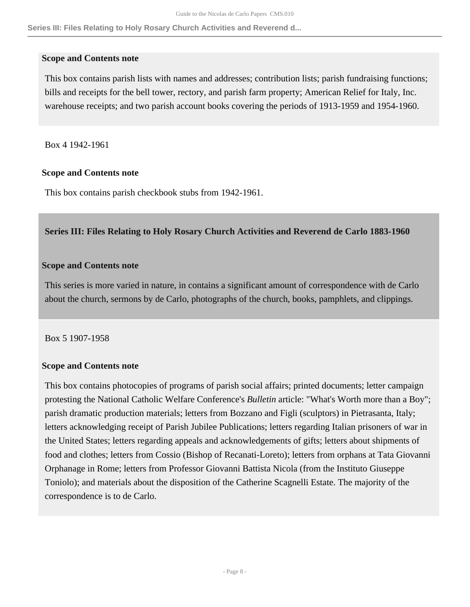**Series III: Files Relating to Holy Rosary Church Activities and Reverend d...**

#### **Scope and Contents note**

This box contains parish lists with names and addresses; contribution lists; parish fundraising functions; bills and receipts for the bell tower, rectory, and parish farm property; American Relief for Italy, Inc. warehouse receipts; and two parish account books covering the periods of 1913-1959 and 1954-1960.

Box 4 1942-1961

#### **Scope and Contents note**

This box contains parish checkbook stubs from 1942-1961.

#### <span id="page-7-0"></span>**Series III: Files Relating to Holy Rosary Church Activities and Reverend de Carlo 1883-1960**

#### **Scope and Contents note**

This series is more varied in nature, in contains a significant amount of correspondence with de Carlo about the church, sermons by de Carlo, photographs of the church, books, pamphlets, and clippings.

#### Box 5 1907-1958

#### **Scope and Contents note**

This box contains photocopies of programs of parish social affairs; printed documents; letter campaign protesting the National Catholic Welfare Conference's *Bulletin* article: "What's Worth more than a Boy"; parish dramatic production materials; letters from Bozzano and Figli (sculptors) in Pietrasanta, Italy; letters acknowledging receipt of Parish Jubilee Publications; letters regarding Italian prisoners of war in the United States; letters regarding appeals and acknowledgements of gifts; letters about shipments of food and clothes; letters from Cossio (Bishop of Recanati-Loreto); letters from orphans at Tata Giovanni Orphanage in Rome; letters from Professor Giovanni Battista Nicola (from the Instituto Giuseppe Toniolo); and materials about the disposition of the Catherine Scagnelli Estate. The majority of the correspondence is to de Carlo.